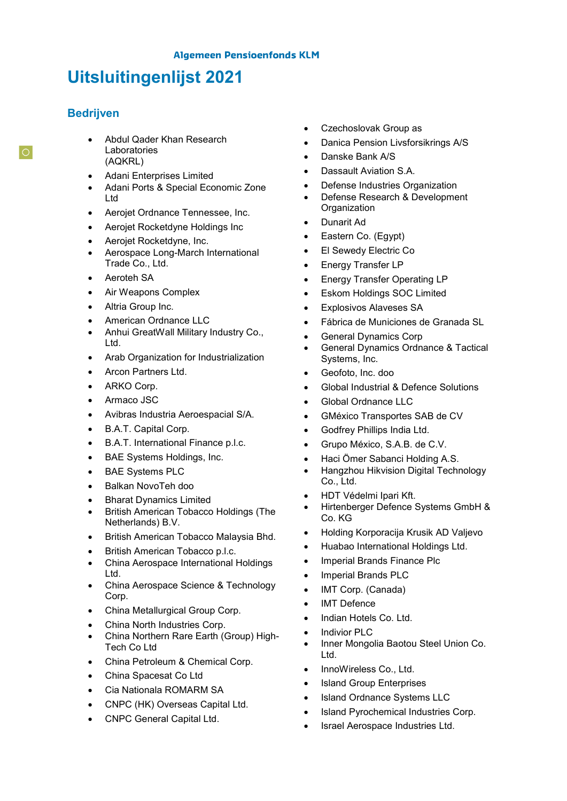# **Uitsluitingenlijst 2021**

## **Bedrijven**

- Abdul Qader Khan Research Laboratories (AQKRL)
- Adani Enterprises Limited
- Adani Ports & Special Economic Zone Ltd
- Aerojet Ordnance Tennessee, Inc.
- Aerojet Rocketdyne Holdings Inc
- Aerojet Rocketdyne, Inc.
- Aerospace Long-March International Trade Co., Ltd.
- **Aeroteh SA**
- Air Weapons Complex
- Altria Group Inc.
- American Ordnance LLC
- Anhui GreatWall Military Industry Co., Ltd.
- Arab Organization for Industrialization
- Arcon Partners Ltd.
- ARKO Corp.
- Armaco JSC
- Avibras Industria Aeroespacial S/A.
- B.A.T. Capital Corp.
- B.A.T. International Finance p.l.c.
- BAE Systems Holdings, Inc.
- BAE Systems PLC
- Balkan NovoTeh doo
- Bharat Dynamics Limited
- British American Tobacco Holdings (The Netherlands) B.V.
- British American Tobacco Malaysia Bhd.
- British American Tobacco p.l.c.
- China Aerospace International Holdings Ltd.
- China Aerospace Science & Technology Corp.
- China Metallurgical Group Corp.
- China North Industries Corp.
- China Northern Rare Earth (Group) High-Tech Co Ltd
- China Petroleum & Chemical Corp.
- China Spacesat Co Ltd
- Cia Nationala ROMARM SA
- CNPC (HK) Overseas Capital Ltd.
- CNPC General Capital Ltd.
- Czechoslovak Group as
- Danica Pension Livsforsikrings A/S
- Danske Bank A/S
- Dassault Aviation S.A.
- Defense Industries Organization
- Defense Research & Development **Organization**
- Dunarit Ad
- Eastern Co. (Egypt)
- El Sewedy Electric Co
- Energy Transfer LP
- Energy Transfer Operating LP
- Eskom Holdings SOC Limited
- Explosivos Alaveses SA
- Fábrica de Municiones de Granada SL
- General Dynamics Corp
- General Dynamics Ordnance & Tactical Systems, Inc.
- Geofoto, Inc. doo
- Global Industrial & Defence Solutions
- Global Ordnance LLC
- GMéxico Transportes SAB de CV
- Godfrey Phillips India Ltd.
- Grupo México, S.A.B. de C.V.
- Haci Ömer Sabanci Holding A.S.
- Hangzhou Hikvision Digital Technology Co., Ltd.
- HDT Védelmi Ipari Kft.
- Hirtenberger Defence Systems GmbH & Co. KG
- Holding Korporacija Krusik AD Valjevo
- Huabao International Holdings Ltd.
- Imperial Brands Finance Plc
- Imperial Brands PLC
- IMT Corp. (Canada)
- IMT Defence
- Indian Hotels Co. Ltd.
- Indivior PLC
- Inner Mongolia Baotou Steel Union Co. Ltd.
- InnoWireless Co., Ltd.
- Island Group Enterprises
- Island Ordnance Systems LLC
- Island Pyrochemical Industries Corp.
- Israel Aerospace Industries Ltd.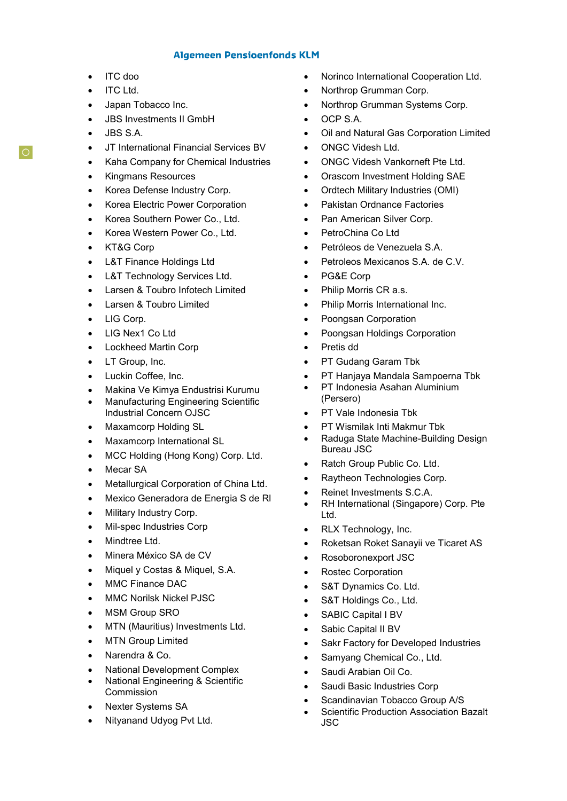#### **Algemeen Pensioenfonds KLM**

- ITC doo
- ITC Ltd.
- Japan Tobacco Inc.
- JBS Investments II GmbH
- JBS S.A.
- JT International Financial Services BV
- Kaha Company for Chemical Industries
- Kingmans Resources
- Korea Defense Industry Corp.
- Korea Electric Power Corporation
- Korea Southern Power Co., Ltd.
- Korea Western Power Co., Ltd.
- KT&G Corp
- L&T Finance Holdings Ltd
- L&T Technology Services Ltd.
- Larsen & Toubro Infotech Limited
- Larsen & Toubro Limited
- LIG Corp.
- LIG Nex1 Co Ltd
- Lockheed Martin Corp
- LT Group, Inc.
- Luckin Coffee, Inc.
- Makina Ve Kimya Endustrisi Kurumu
- Manufacturing Engineering Scientific Industrial Concern OJSC
- Maxamcorp Holding SL
- Maxamcorp International SL
- MCC Holding (Hong Kong) Corp. Ltd.
- Mecar SA
- Metallurgical Corporation of China Ltd.
- Mexico Generadora de Energia S de Rl
- Military Industry Corp.
- Mil-spec Industries Corp
- Mindtree Ltd.
- Minera México SA de CV
- Miquel y Costas & Miquel, S.A.
- MMC Finance DAC
- MMC Norilsk Nickel PJSC
- MSM Group SRO
- MTN (Mauritius) Investments Ltd.
- **MTN Group Limited**
- Narendra & Co.
- National Development Complex
- National Engineering & Scientific Commission
- Nexter Systems SA
- Nityanand Udyog Pvt Ltd.
- Norinco International Cooperation Ltd.
- Northrop Grumman Corp.
- Northrop Grumman Systems Corp.
- OCP S.A.
- Oil and Natural Gas Corporation Limited
- ONGC Videsh Ltd.
- ONGC Videsh Vankorneft Pte Ltd.
- Orascom Investment Holding SAE
- Ordtech Military Industries (OMI)
- Pakistan Ordnance Factories
- Pan American Silver Corp.
- PetroChina Co Ltd
- Petróleos de Venezuela S.A.
- Petroleos Mexicanos S.A. de C.V.
- PG&E Corp
- Philip Morris CR a.s.
- Philip Morris International Inc.
- Poongsan Corporation
- Poongsan Holdings Corporation
- Pretis dd
- PT Gudang Garam Tbk
- PT Hanjaya Mandala Sampoerna Tbk
- PT Indonesia Asahan Aluminium (Persero)
- PT Vale Indonesia Tbk
- PT Wismilak Inti Makmur Tbk
- Raduga State Machine-Building Design Bureau JSC
- Ratch Group Public Co. Ltd.
- Raytheon Technologies Corp.
- Reinet Investments S.C.A.
- RH International (Singapore) Corp. Pte Ltd.
- RLX Technology, Inc.
- Roketsan Roket Sanayii ve Ticaret AS
- Rosoboronexport JSC
- Rostec Corporation
- S&T Dynamics Co. Ltd.
- S&T Holdings Co., Ltd.
- SABIC Capital I BV
- Sabic Capital II BV
- Sakr Factory for Developed Industries
- Samyang Chemical Co., Ltd.
- Saudi Arabian Oil Co.
- Saudi Basic Industries Corp
- Scandinavian Tobacco Group A/S
- Scientific Production Association Bazalt JSC